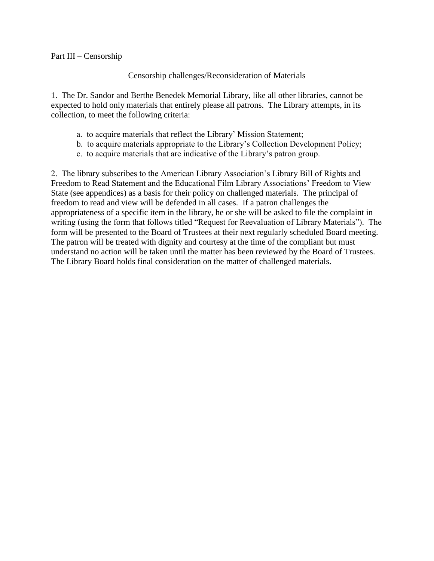## Part III – Censorship

## Censorship challenges/Reconsideration of Materials

1. The Dr. Sandor and Berthe Benedek Memorial Library, like all other libraries, cannot be expected to hold only materials that entirely please all patrons. The Library attempts, in its collection, to meet the following criteria:

- a. to acquire materials that reflect the Library' Mission Statement;
- b. to acquire materials appropriate to the Library's Collection Development Policy;
- c. to acquire materials that are indicative of the Library's patron group.

2. The library subscribes to the American Library Association's Library Bill of Rights and Freedom to Read Statement and the Educational Film Library Associations' Freedom to View State (see appendices) as a basis for their policy on challenged materials. The principal of freedom to read and view will be defended in all cases. If a patron challenges the appropriateness of a specific item in the library, he or she will be asked to file the complaint in writing (using the form that follows titled "Request for Reevaluation of Library Materials"). The form will be presented to the Board of Trustees at their next regularly scheduled Board meeting. The patron will be treated with dignity and courtesy at the time of the compliant but must understand no action will be taken until the matter has been reviewed by the Board of Trustees. The Library Board holds final consideration on the matter of challenged materials.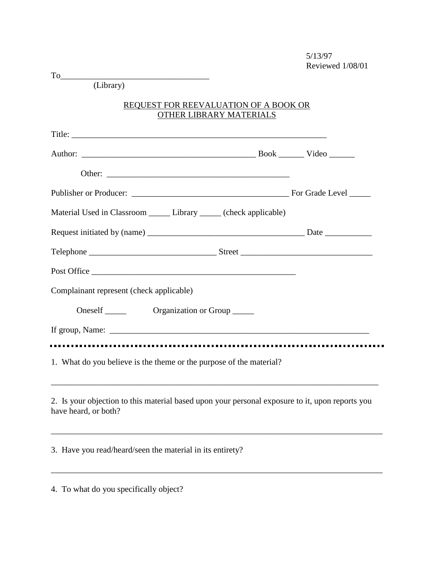| $To \underline{\hspace{2cm}}$                                                                                           |  |
|-------------------------------------------------------------------------------------------------------------------------|--|
| (Library)                                                                                                               |  |
| <b>REQUEST FOR REEVALUATION OF A BOOK OR</b><br>OTHER LIBRARY MATERIALS                                                 |  |
|                                                                                                                         |  |
|                                                                                                                         |  |
|                                                                                                                         |  |
|                                                                                                                         |  |
| Material Used in Classroom _________ Library _______ (check applicable)                                                 |  |
|                                                                                                                         |  |
|                                                                                                                         |  |
| Post Office                                                                                                             |  |
| Complainant represent (check applicable)                                                                                |  |
|                                                                                                                         |  |
|                                                                                                                         |  |
| 1. What do you believe is the theme or the purpose of the material?                                                     |  |
| 2. Is your objection to this material based upon your personal exposure to it, upon reports you<br>have heard, or both? |  |
| 3. Have you read/heard/seen the material in its entirety?                                                               |  |
|                                                                                                                         |  |

4. To what do you specifically object?